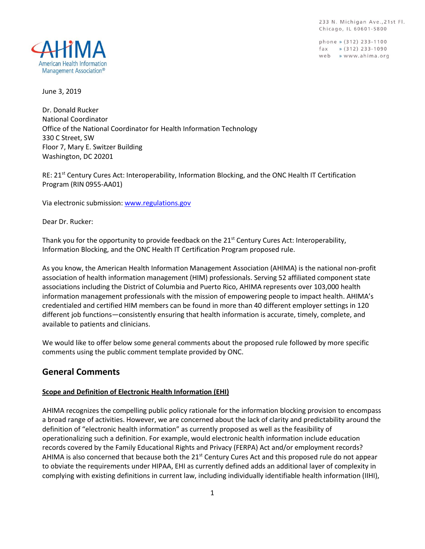233 N. Michigan Ave., 21st Fl. Chicago, IL 60601-5800

phone » (312) 233-1100  $\int (312) 233 - 1090$ web » www.ahima.org



June 3, 2019

Dr. Donald Rucker National Coordinator Office of the National Coordinator for Health Information Technology 330 C Street, SW Floor 7, Mary E. Switzer Building Washington, DC 20201

RE: 21<sup>st</sup> Century Cures Act: Interoperability, Information Blocking, and the ONC Health IT Certification Program (RIN 0955-AA01)

Via electronic submission[: www.regulations.gov](http://www.regulations.gov/)

Dear Dr. Rucker:

Thank you for the opportunity to provide feedback on the 21<sup>st</sup> Century Cures Act: Interoperability, Information Blocking, and the ONC Health IT Certification Program proposed rule.

As you know, the American Health Information Management Association (AHIMA) is the national non-profit association of health information management (HIM) professionals. Serving 52 affiliated component state associations including the District of Columbia and Puerto Rico, AHIMA represents over 103,000 health information management professionals with the mission of empowering people to impact health. AHIMA's credentialed and certified HIM members can be found in more than 40 different employer settings in 120 different job functions—consistently ensuring that health information is accurate, timely, complete, and available to patients and clinicians.

We would like to offer below some general comments about the proposed rule followed by more specific comments using the public comment template provided by ONC.

# **General Comments**

#### **Scope and Definition of Electronic Health Information (EHI)**

AHIMA recognizes the compelling public policy rationale for the information blocking provision to encompass a broad range of activities. However, we are concerned about the lack of clarity and predictability around the definition of "electronic health information" as currently proposed as well as the feasibility of operationalizing such a definition. For example, would electronic health information include education records covered by the Family Educational Rights and Privacy (FERPA) Act and/or employment records? AHIMA is also concerned that because both the 21<sup>st</sup> Century Cures Act and this proposed rule do not appear to obviate the requirements under HIPAA, EHI as currently defined adds an additional layer of complexity in complying with existing definitions in current law, including individually identifiable health information (IIHI),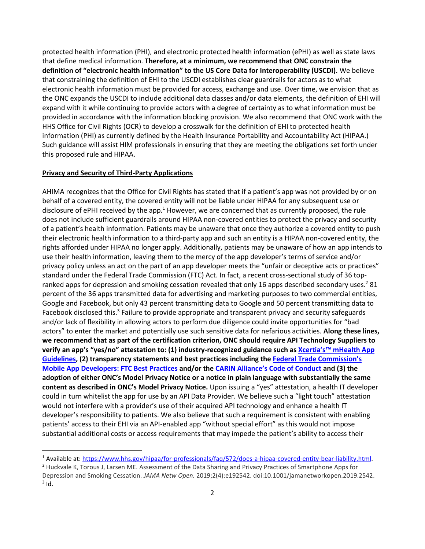protected health information (PHI), and electronic protected health information (ePHI) as well as state laws that define medical information. **Therefore, at a minimum, we recommend that ONC constrain the definition of "electronic health information" to the US Core Data for Interoperability (USCDI).** We believe that constraining the definition of EHI to the USCDI establishes clear guardrails for actors as to what electronic health information must be provided for access, exchange and use. Over time, we envision that as the ONC expands the USCDI to include additional data classes and/or data elements, the definition of EHI will expand with it while continuing to provide actors with a degree of certainty as to what information must be provided in accordance with the information blocking provision. We also recommend that ONC work with the HHS Office for Civil Rights (OCR) to develop a crosswalk for the definition of EHI to protected health information (PHI) as currently defined by the Health Insurance Portability and Accountability Act (HIPAA.) Such guidance will assist HIM professionals in ensuring that they are meeting the obligations set forth under this proposed rule and HIPAA.

#### **Privacy and Security of Third-Party Applications**

 $\overline{a}$ 

AHIMA recognizes that the Office for Civil Rights has stated that if a patient's app was not provided by or on behalf of a covered entity, the covered entity will not be liable under HIPAA for any subsequent use or disclosure of ePHI received by the app.<sup>1</sup> However, we are concerned that as currently proposed, the rule does not include sufficient guardrails around HIPAA non-covered entities to protect the privacy and security of a patient's health information. Patients may be unaware that once they authorize a covered entity to push their electronic health information to a third-party app and such an entity is a HIPAA non-covered entity, the rights afforded under HIPAA no longer apply. Additionally, patients may be unaware of how an app intends to use their health information, leaving them to the mercy of the app developer's terms of service and/or privacy policy unless an act on the part of an app developer meets the "unfair or deceptive acts or practices" standard under the Federal Trade Commission (FTC) Act. In fact, a recent cross-sectional study of 36 topranked apps for depression and smoking cessation revealed that only 16 apps described secondary uses.<sup>2</sup> 81 percent of the 36 apps transmitted data for advertising and marketing purposes to two commercial entities, Google and Facebook, but only 43 percent transmitting data to Google and 50 percent transmitting data to Facebook disclosed this.<sup>3</sup> Failure to provide appropriate and transparent privacy and security safeguards and/or lack of flexibility in allowing actors to perform due diligence could invite opportunities for "bad actors" to enter the market and potentially use such sensitive data for nefarious activities. **Along these lines, we recommend that as part of the certification criterion, ONC should require API Technology Suppliers to verify an app's "yes/no" attestation to: (1) industry-recognized guidance such as Xcertia's™ [mHealth App](https://xcertia.org/the-guidelines/) [Guidelines,](https://xcertia.org/the-guidelines/) (2) transparency statements and best practices including the [Federal Trade Commission's](https://www.ftc.gov/tips-advice/business-center/guidance/mobile-health-app-developers-ftc-best-practices)  [Mobile App Developers: FTC Best Practices](https://www.ftc.gov/tips-advice/business-center/guidance/mobile-health-app-developers-ftc-best-practices) and/or the CARIN Alliance['s Code of Conduct](https://www.carinalliance.com/our-work/trust-framework-and-code-of-conduct/) and (3) the adoption of either ONC's Model Privacy Notice or a notice in plain language with substantially the same content as described in ONC's Model Privacy Notice.** Upon issuing a "yes" attestation, a health IT developer could in turn whitelist the app for use by an API Data Provider. We believe such a "light touch" attestation would not interfere with a provider's use of their acquired API technology and enhance a health IT developer's responsibility to patients. We also believe that such a requirement is consistent with enabling patients' access to their EHI via an API-enabled app "without special effort" as this would not impose substantial additional costs or access requirements that may impede the patient's ability to access their

<sup>1</sup> Available at: [https://www.hhs.gov/hipaa/for-professionals/faq/572/does-a-hipaa-covered-entity-bear-liability.html.](https://www.hhs.gov/hipaa/for-professionals/faq/572/does-a-hipaa-covered-entity-bear-liability.html)

<sup>&</sup>lt;sup>2</sup> Huckvale K, Torous J, Larsen ME. Assessment of the Data Sharing and Privacy Practices of Smartphone Apps for Depression and Smoking Cessation. *JAMA Netw Open.* 2019;2(4):e192542. doi:10.1001/jamanetworkopen.2019.2542.  $3$  Id.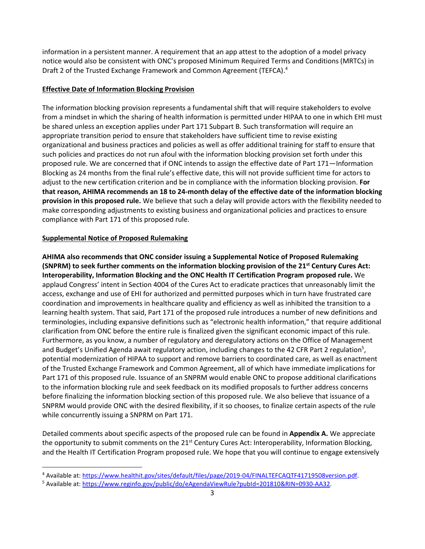information in a persistent manner. A requirement that an app attest to the adoption of a model privacy notice would also be consistent with ONC's proposed Minimum Required Terms and Conditions (MRTCs) in Draft 2 of the Trusted Exchange Framework and Common Agreement (TEFCA). 4

## **Effective Date of Information Blocking Provision**

The information blocking provision represents a fundamental shift that will require stakeholders to evolve from a mindset in which the sharing of health information is permitted under HIPAA to one in which EHI must be shared unless an exception applies under Part 171 Subpart B. Such transformation will require an appropriate transition period to ensure that stakeholders have sufficient time to revise existing organizational and business practices and policies as well as offer additional training for staff to ensure that such policies and practices do not run afoul with the information blocking provision set forth under this proposed rule. We are concerned that if ONC intends to assign the effective date of Part 171—Information Blocking as 24 months from the final rule's effective date, this will not provide sufficient time for actors to adjust to the new certification criterion and be in compliance with the information blocking provision. **For that reason, AHIMA recommends an 18 to 24-month delay of the effective date of the information blocking provision in this proposed rule.** We believe that such a delay will provide actors with the flexibility needed to make corresponding adjustments to existing business and organizational policies and practices to ensure compliance with Part 171 of this proposed rule.

## **Supplemental Notice of Proposed Rulemaking**

 $\overline{a}$ 

**AHIMA also recommends that ONC consider issuing a Supplemental Notice of Proposed Rulemaking (SNPRM) to seek further comments on the information blocking provision of the 21st Century Cures Act: Interoperability, Information Blocking and the ONC Health IT Certification Program proposed rule.** We applaud Congress' intent in Section 4004 of the Cures Act to eradicate practices that unreasonably limit the access, exchange and use of EHI for authorized and permitted purposes which in turn have frustrated care coordination and improvements in healthcare quality and efficiency as well as inhibited the transition to a learning health system. That said, Part 171 of the proposed rule introduces a number of new definitions and terminologies, including expansive definitions such as "electronic health information," that require additional clarification from ONC before the entire rule is finalized given the significant economic impact of this rule. Furthermore, as you know, a number of regulatory and deregulatory actions on the Office of Management and Budget's Unified Agenda await regulatory action, including changes to the 42 CFR Part 2 regulation<sup>5</sup>, potential modernization of HIPAA to support and remove barriers to coordinated care, as well as enactment of the Trusted Exchange Framework and Common Agreement, all of which have immediate implications for Part 171 of this proposed rule. Issuance of an SNPRM would enable ONC to propose additional clarifications to the information blocking rule and seek feedback on its modified proposals to further address concerns before finalizing the information blocking section of this proposed rule. We also believe that issuance of a SNPRM would provide ONC with the desired flexibility, if it so chooses, to finalize certain aspects of the rule while concurrently issuing a SNPRM on Part 171.

Detailed comments about specific aspects of the proposed rule can be found in **Appendix A.** We appreciate the opportunity to submit comments on the 21<sup>st</sup> Century Cures Act: Interoperability, Information Blocking, and the Health IT Certification Program proposed rule. We hope that you will continue to engage extensively

<sup>4</sup> Available at: [https://www.healthit.gov/sites/default/files/page/2019-04/FINALTEFCAQTF41719508version.pdf.](https://www.healthit.gov/sites/default/files/page/2019-04/FINALTEFCAQTF41719508version.pdf)

<sup>5</sup> Available at: [https://www.reginfo.gov/public/do/eAgendaViewRule?pubId=201810&RIN=0930-AA32.](https://www.reginfo.gov/public/do/eAgendaViewRule?pubId=201810&RIN=0930-AA32)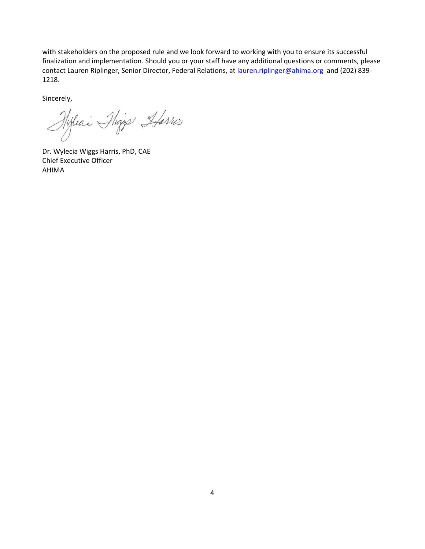with stakeholders on the proposed rule and we look forward to working with you to ensure its successful finalization and implementation. Should you or your staff have any additional questions or comments, please contact Lauren Riplinger, Senior Director, Federal Relations, a[t lauren.riplinger@ahima.org](mailto:lauren.riplinger@ahima.org) and (202) 839- 1218.

Sincerely,

Hyleai Phiggs Harris

Dr. Wylecia Wiggs Harris, PhD, CAE Chief Executive Officer AHIMA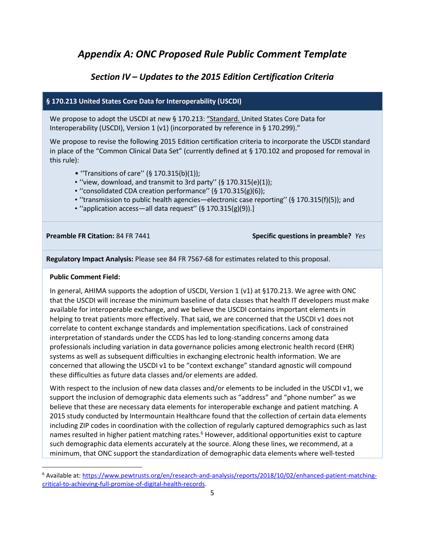# *Appendix A: ONC Proposed Rule Public Comment Template*

# *Section IV – Updates to the 2015 Edition Certification Criteria*

## **§ 170.213 United States Core Data for Interoperability (USCDI)**

We propose to adopt the USCDI at new § 170.213: "Standard. United States Core Data for Interoperability (USCDI), Version 1 (v1) (incorporated by reference in § 170.299)."

We propose to revise the following 2015 Edition certification criteria to incorporate the USCDI standard in place of the "Common Clinical Data Set" (currently defined at § 170.102 and proposed for removal in this rule):

- ''Transitions of care'' (§ 170.315(b)(1));
- ''view, download, and transmit to 3rd party'' (§ 170.315(e)(1));
- ''consolidated CDA creation performance'' (§ 170.315(g)(6));
- ''transmission to public health agencies—electronic case reporting'' (§ 170.315(f)(5)); and
- ''application access—all data request'' (§ 170.315(g)(9)).]

#### **Preamble FR Citation:** 84 FR 7441 **Specific questions in preamble?** *Yes*

**Regulatory Impact Analysis:** Please see 84 FR 7567-68 for estimates related to this proposal.

#### **Public Comment Field:**

 $\overline{a}$ 

In general, AHIMA supports the adoption of USCDI, Version 1 (v1) at §170.213. We agree with ONC that the USCDI will increase the minimum baseline of data classes that health IT developers must make available for interoperable exchange, and we believe the USCDI contains important elements in helping to treat patients more effectively. That said, we are concerned that the USCDI v1 does not correlate to content exchange standards and implementation specifications. Lack of constrained interpretation of standards under the CCDS has led to long-standing concerns among data professionals including variation in data governance policies among electronic health record (EHR) systems as well as subsequent difficulties in exchanging electronic health information. We are concerned that allowing the USCDI v1 to be "context exchange" standard agnostic will compound these difficulties as future data classes and/or elements are added.

With respect to the inclusion of new data classes and/or elements to be included in the USCDI v1, we support the inclusion of demographic data elements such as "address" and "phone number" as we believe that these are necessary data elements for interoperable exchange and patient matching. A 2015 study conducted by Intermountain Healthcare found that the collection of certain data elements including ZIP codes in coordination with the collection of regularly captured demographics such as last names resulted in higher patient matching rates.<sup>6</sup> However, additional opportunities exist to capture such demographic data elements accurately at the source. Along these lines, we recommend, at a minimum, that ONC support the standardization of demographic data elements where well-tested

<sup>6</sup> Available at: [https://www.pewtrusts.org/en/research-and-analysis/reports/2018/10/02/enhanced-patient-matching](https://www.pewtrusts.org/en/research-and-analysis/reports/2018/10/02/enhanced-patient-matching-critical-to-achieving-full-promise-of-digital-health-records)[critical-to-achieving-full-promise-of-digital-health-records.](https://www.pewtrusts.org/en/research-and-analysis/reports/2018/10/02/enhanced-patient-matching-critical-to-achieving-full-promise-of-digital-health-records)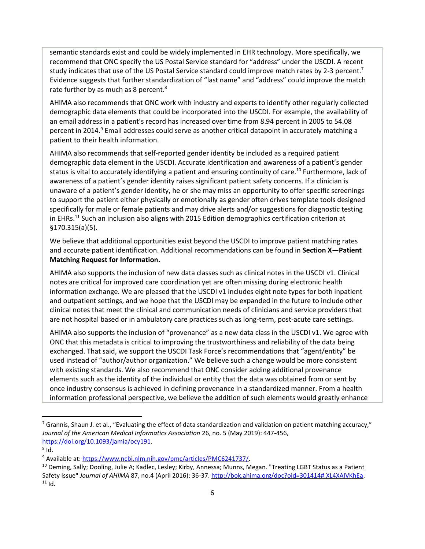semantic standards exist and could be widely implemented in EHR technology. More specifically, we recommend that ONC specify the US Postal Service standard for "address" under the USCDI. A recent study indicates that use of the US Postal Service standard could improve match rates by 2-3 percent.<sup>7</sup> Evidence suggests that further standardization of "last name" and "address" could improve the match rate further by as much as 8 percent. $8<sup>8</sup>$ 

AHIMA also recommends that ONC work with industry and experts to identify other regularly collected demographic data elements that could be incorporated into the USCDI. For example, the availability of an email address in a patient's record has increased over time from 8.94 percent in 2005 to 54.08 percent in 2014.<sup>9</sup> Email addresses could serve as another critical datapoint in accurately matching a patient to their health information.

AHIMA also recommends that self-reported gender identity be included as a required patient demographic data element in the USCDI. Accurate identification and awareness of a patient's gender status is vital to accurately identifying a patient and ensuring continuity of care.<sup>10</sup> Furthermore, lack of awareness of a patient's gender identity raises significant patient safety concerns. If a clinician is unaware of a patient's gender identity, he or she may miss an opportunity to offer specific screenings to support the patient either physically or emotionally as gender often drives template tools designed specifically for male or female patients and may drive alerts and/or suggestions for diagnostic testing in EHRs.<sup>11</sup> Such an inclusion also aligns with 2015 Edition demographics certification criterion at §170.315(a)(5).

We believe that additional opportunities exist beyond the USCDI to improve patient matching rates and accurate patient identification. Additional recommendations can be found in **Section X—Patient Matching Request for Information.**

AHIMA also supports the inclusion of new data classes such as clinical notes in the USCDI v1. Clinical notes are critical for improved care coordination yet are often missing during electronic health information exchange. We are pleased that the USCDI v1 includes eight note types for both inpatient and outpatient settings, and we hope that the USCDI may be expanded in the future to include other clinical notes that meet the clinical and communication needs of clinicians and service providers that are not hospital based or in ambulatory care practices such as long-term, post-acute care settings.

AHIMA also supports the inclusion of "provenance" as a new data class in the USCDI v1. We agree with ONC that this metadata is critical to improving the trustworthiness and reliability of the data being exchanged. That said, we support the USCDI Task Force's recommendations that "agent/entity" be used instead of "author/author organization." We believe such a change would be more consistent with existing standards. We also recommend that ONC consider adding additional provenance elements such as the identity of the individual or entity that the data was obtained from or sent by once industry consensus is achieved in defining provenance in a standardized manner. From a health information professional perspective, we believe the addition of such elements would greatly enhance

 $\overline{a}$ 

 $^7$  Grannis, Shaun J. et al., "Evaluating the effect of data standardization and validation on patient matching accuracy," *Journal of the American Medical Informatics Association* 26, no. 5 (May 2019): 447-456, [https://doi.org/10.1093/jamia/ocy191.](https://doi.org/10.1093/jamia/ocy191) 

 $^8$  Id.

<sup>9</sup> Available at: [https://www.ncbi.nlm.nih.gov/pmc/articles/PMC6241737/.](https://www.ncbi.nlm.nih.gov/pmc/articles/PMC6241737/)

<sup>&</sup>lt;sup>10</sup> Deming, Sally; Dooling, Julie A; Kadlec, Lesley; Kirby, Annessa; Munns, Megan. "Treating LGBT Status as a Patient Safety Issue" Journal of AHIMA 87, no.4 (April 2016): 36-37. [http://bok.ahima.org/doc?oid=301414#.XL4XAlVKhEa.](http://bok.ahima.org/doc?oid=301414#.XL4XAlVKhEa)  $11$  Id.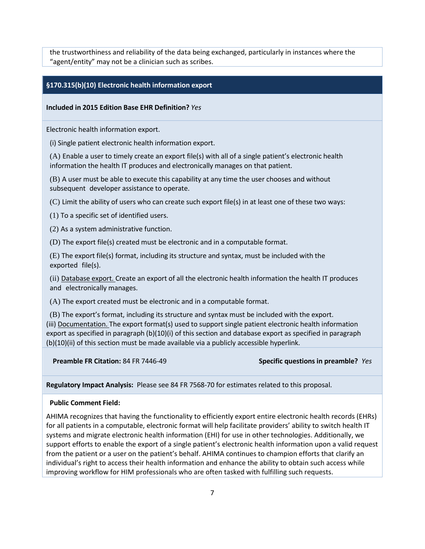the trustworthiness and reliability of the data being exchanged, particularly in instances where the "agent/entity" may not be a clinician such as scribes.

#### **§170.315(b)(10) Electronic health information export**

#### **Included in 2015 Edition Base EHR Definition?** *Yes*

Electronic health information export.

(i) Single patient electronic health information export.

(A) Enable a user to timely create an export file(s) with all of a single patient's electronic health information the health IT produces and electronically manages on that patient.

(B) A user must be able to execute this capability at any time the user chooses and without subsequent developer assistance to operate.

(C) Limit the ability of users who can create such export file(s) in at least one of these two ways:

(1) To a specific set of identified users.

(2) As a system administrative function.

(D) The export file(s) created must be electronic and in a computable format.

(E) The export file(s) format, including its structure and syntax, must be included with the exported file(s).

(ii) Database export. Create an export of all the electronic health information the health IT produces and electronically manages.

(A) The export created must be electronic and in a computable format.

(B) The export's format, including its structure and syntax must be included with the export. (iii) Documentation. The export format(s) used to support single patient electronic health information export as specified in paragraph (b)(10)(i) of this section and database export as specified in paragraph (b)(10)(ii) of this section must be made available via a publicly accessible hyperlink.

**Preamble FR Citation:** 84 FR 7446-49 **Specific questions in preamble?** *Yes*

**Regulatory Impact Analysis:** Please see 84 FR 7568-70 for estimates related to this proposal.

#### **Public Comment Field:**

AHIMA recognizes that having the functionality to efficiently export entire electronic health records (EHRs) for all patients in a computable, electronic format will help facilitate providers' ability to switch health IT systems and migrate electronic health information (EHI) for use in other technologies. Additionally, we support efforts to enable the export of a single patient's electronic health information upon a valid request from the patient or a user on the patient's behalf. AHIMA continues to champion efforts that clarify an individual's right to access their health information and enhance the ability to obtain such access while improving workflow for HIM professionals who are often tasked with fulfilling such requests.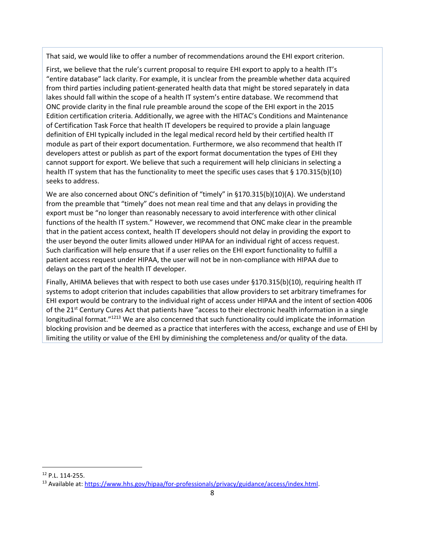That said, we would like to offer a number of recommendations around the EHI export criterion.

First, we believe that the rule's current proposal to require EHI export to apply to a health IT's "entire database" lack clarity. For example, it is unclear from the preamble whether data acquired from third parties including patient-generated health data that might be stored separately in data lakes should fall within the scope of a health IT system's entire database. We recommend that ONC provide clarity in the final rule preamble around the scope of the EHI export in the 2015 Edition certification criteria. Additionally, we agree with the HITAC's Conditions and Maintenance of Certification Task Force that health IT developers be required to provide a plain language definition of EHI typically included in the legal medical record held by their certified health IT module as part of their export documentation. Furthermore, we also recommend that health IT developers attest or publish as part of the export format documentation the types of EHI they cannot support for export. We believe that such a requirement will help clinicians in selecting a health IT system that has the functionality to meet the specific uses cases that § 170.315(b)(10) seeks to address.

We are also concerned about ONC's definition of "timely" in §170.315(b)(10)(A). We understand from the preamble that "timely" does not mean real time and that any delays in providing the export must be "no longer than reasonably necessary to avoid interference with other clinical functions of the health IT system." However, we recommend that ONC make clear in the preamble that in the patient access context, health IT developers should not delay in providing the export to the user beyond the outer limits allowed under HIPAA for an individual right of access request. Such clarification will help ensure that if a user relies on the EHI export functionality to fulfill a patient access request under HIPAA, the user will not be in non-compliance with HIPAA due to delays on the part of the health IT developer.

Finally, AHIMA believes that with respect to both use cases under §170.315(b)(10), requiring health IT systems to adopt criterion that includes capabilities that allow providers to set arbitrary timeframes for EHI export would be contrary to the individual right of access under HIPAA and the intent of section 4006 of the 21<sup>st</sup> Century Cures Act that patients have "access to their electronic health information in a single longitudinal format."<sup>1213</sup> We are also concerned that such functionality could implicate the information blocking provision and be deemed as a practice that interferes with the access, exchange and use of EHI by limiting the utility or value of the EHI by diminishing the completeness and/or quality of the data.

 $\overline{a}$ 

<sup>12</sup> P.L. 114-255.

<sup>&</sup>lt;sup>13</sup> Available at: https://www.hhs.gov/hipaa/for-professionals/privacy/guidance/access/index.html.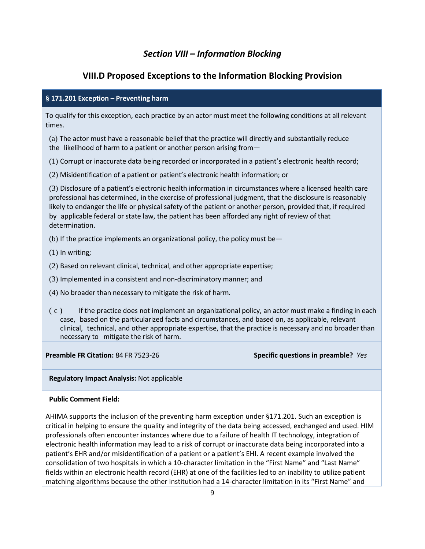# *Section VIII – Information Blocking*

# **VIII.D Proposed Exceptions to the Information Blocking Provision**

## **§ 171.201 Exception – Preventing harm**

To qualify for this exception, each practice by an actor must meet the following conditions at all relevant times.

(a) The actor must have a reasonable belief that the practice will directly and substantially reduce the likelihood of harm to a patient or another person arising from—

(1) Corrupt or inaccurate data being recorded or incorporated in a patient's electronic health record;

(2) Misidentification of a patient or patient's electronic health information; or

(3) Disclosure of a patient's electronic health information in circumstances where a licensed health care professional has determined, in the exercise of professional judgment, that the disclosure is reasonably likely to endanger the life or physical safety of the patient or another person, provided that, if required by applicable federal or state law, the patient has been afforded any right of review of that determination.

- (b) If the practice implements an organizational policy, the policy must be—
- (1) In writing;
- (2) Based on relevant clinical, technical, and other appropriate expertise;
- (3) Implemented in a consistent and non-discriminatory manner; and
- (4) No broader than necessary to mitigate the risk of harm.
- ( c ) If the practice does not implement an organizational policy, an actor must make a finding in each case, based on the particularized facts and circumstances, and based on, as applicable, relevant clinical, technical, and other appropriate expertise, that the practice is necessary and no broader than necessary to mitigate the risk of harm.

**Preamble FR Citation:** 84 FR 7523-26 **Specific questions in preamble?** *Yes*

#### **Regulatory Impact Analysis:** Not applicable

#### **Public Comment Field:**

AHIMA supports the inclusion of the preventing harm exception under §171.201. Such an exception is critical in helping to ensure the quality and integrity of the data being accessed, exchanged and used. HIM professionals often encounter instances where due to a failure of health IT technology, integration of electronic health information may lead to a risk of corrupt or inaccurate data being incorporated into a patient's EHR and/or misidentification of a patient or a patient's EHI. A recent example involved the consolidation of two hospitals in which a 10-character limitation in the "First Name" and "Last Name" fields within an electronic health record (EHR) at one of the facilities led to an inability to utilize patient matching algorithms because the other institution had a 14-character limitation in its "First Name" and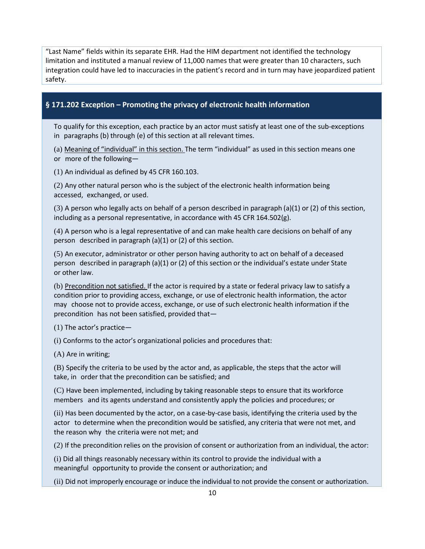"Last Name" fields within its separate EHR. Had the HIM department not identified the technology limitation and instituted a manual review of 11,000 names that were greater than 10 characters, such integration could have led to inaccuracies in the patient's record and in turn may have jeopardized patient safety.

## **§ 171.202 Exception – Promoting the privacy of electronic health information**

To qualify for this exception, each practice by an actor must satisfy at least one of the sub-exceptions in paragraphs (b) through (e) of this section at all relevant times.

(a) Meaning of "individual" in this section. The term "individual" as used in this section means one or more of the following—

(1) An individual as defined by 45 CFR 160.103.

(2) Any other natural person who is the subject of the electronic health information being accessed, exchanged, or used.

(3) A person who legally acts on behalf of a person described in paragraph (a)(1) or (2) of this section, including as a personal representative, in accordance with 45 CFR 164.502(g).

(4) A person who is a legal representative of and can make health care decisions on behalf of any person described in paragraph (a)(1) or (2) of this section.

(5) An executor, administrator or other person having authority to act on behalf of a deceased person described in paragraph (a)(1) or (2) of this section or the individual's estate under State or other law.

(b) Precondition not satisfied. If the actor is required by a state or federal privacy law to satisfy a condition prior to providing access, exchange, or use of electronic health information, the actor may choose not to provide access, exchange, or use of such electronic health information if the precondition has not been satisfied, provided that—

(1) The actor's practice—

(i) Conforms to the actor's organizational policies and procedures that:

(A) Are in writing;

(B) Specify the criteria to be used by the actor and, as applicable, the steps that the actor will take, in order that the precondition can be satisfied; and

(C) Have been implemented, including by taking reasonable steps to ensure that its workforce members and its agents understand and consistently apply the policies and procedures; or

(ii) Has been documented by the actor, on a case-by-case basis, identifying the criteria used by the actor to determine when the precondition would be satisfied, any criteria that were not met, and the reason why the criteria were not met; and

(2) If the precondition relies on the provision of consent or authorization from an individual, the actor:

(i) Did all things reasonably necessary within its control to provide the individual with a meaningful opportunity to provide the consent or authorization; and

(ii) Did not improperly encourage or induce the individual to not provide the consent or authorization.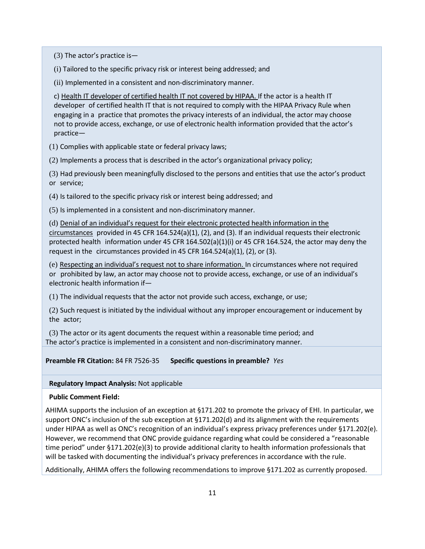(3) The actor's practice is—

(i) Tailored to the specific privacy risk or interest being addressed; and

(ii) Implemented in a consistent and non-discriminatory manner.

c) Health IT developer of certified health IT not covered by HIPAA. If the actor is a health IT developer of certified health IT that is not required to comply with the HIPAA Privacy Rule when engaging in a practice that promotes the privacy interests of an individual, the actor may choose not to provide access, exchange, or use of electronic health information provided that the actor's practice—

(1) Complies with applicable state or federal privacy laws;

(2) Implements a process that is described in the actor's organizational privacy policy;

(3) Had previously been meaningfully disclosed to the persons and entities that use the actor's product or service;

(4) Is tailored to the specific privacy risk or interest being addressed; and

(5) Is implemented in a consistent and non-discriminatory manner.

(d) Denial of an individual's request for their electronic protected health information in the circumstances provided in 45 CFR 164.524(a)(1), (2), and (3). If an individual requests their electronic protected health information under 45 CFR 164.502(a)(1)(i) or 45 CFR 164.524, the actor may deny the request in the circumstances provided in 45 CFR 164.524(a)(1), (2), or (3).

(e) Respecting an individual's request not to share information. In circumstances where not required or prohibited by law, an actor may choose not to provide access, exchange, or use of an individual's electronic health information if—

(1) The individual requests that the actor not provide such access, exchange, or use;

(2) Such request is initiated by the individual without any improper encouragement or inducement by the actor;

(3) The actor or its agent documents the request within a reasonable time period; and The actor's practice is implemented in a consistent and non-discriminatory manner.

**Preamble FR Citation:** 84 FR 7526-35 **Specific questions in preamble?** *Yes*

**Regulatory Impact Analysis:** Not applicable

## **Public Comment Field:**

AHIMA supports the inclusion of an exception at §171.202 to promote the privacy of EHI. In particular, we support ONC's inclusion of the sub exception at §171.202(d) and its alignment with the requirements under HIPAA as well as ONC's recognition of an individual's express privacy preferences under §171.202(e). However, we recommend that ONC provide guidance regarding what could be considered a "reasonable time period" under §171.202(e)(3) to provide additional clarity to health information professionals that will be tasked with documenting the individual's privacy preferences in accordance with the rule.

Additionally, AHIMA offers the following recommendations to improve §171.202 as currently proposed.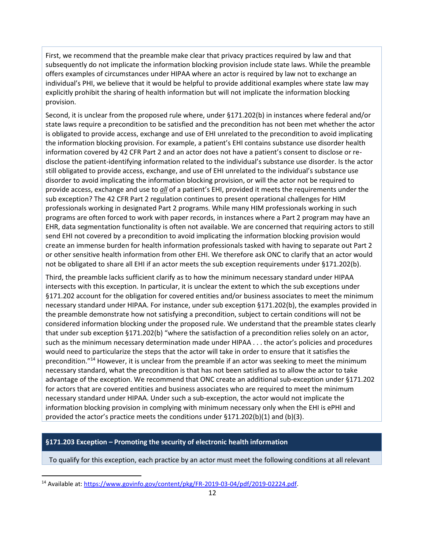First, we recommend that the preamble make clear that privacy practices required by law and that subsequently do not implicate the information blocking provision include state laws. While the preamble offers examples of circumstances under HIPAA where an actor is required by law not to exchange an individual's PHI, we believe that it would be helpful to provide additional examples where state law may explicitly prohibit the sharing of health information but will not implicate the information blocking provision.

Second, it is unclear from the proposed rule where, under §171.202(b) in instances where federal and/or state laws require a precondition to be satisfied and the precondition has not been met whether the actor is obligated to provide access, exchange and use of EHI unrelated to the precondition to avoid implicating the information blocking provision. For example, a patient's EHI contains substance use disorder health information covered by 42 CFR Part 2 and an actor does not have a patient's consent to disclose or redisclose the patient-identifying information related to the individual's substance use disorder. Is the actor still obligated to provide access, exchange, and use of EHI unrelated to the individual's substance use disorder to avoid implicating the information blocking provision, or will the actor not be required to provide access, exchange and use to *all* of a patient's EHI, provided it meets the requirements under the sub exception? The 42 CFR Part 2 regulation continues to present operational challenges for HIM professionals working in designated Part 2 programs. While many HIM professionals working in such programs are often forced to work with paper records, in instances where a Part 2 program may have an EHR, data segmentation functionality is often not available. We are concerned that requiring actors to still send EHI not covered by a precondition to avoid implicating the information blocking provision would create an immense burden for health information professionals tasked with having to separate out Part 2 or other sensitive health information from other EHI. We therefore ask ONC to clarify that an actor would not be obligated to share all EHI if an actor meets the sub exception requirements under §171.202(b).

Third, the preamble lacks sufficient clarify as to how the minimum necessary standard under HIPAA intersects with this exception. In particular, it is unclear the extent to which the sub exceptions under §171.202 account for the obligation for covered entities and/or business associates to meet the minimum necessary standard under HIPAA. For instance, under sub exception §171.202(b), the examples provided in the preamble demonstrate how not satisfying a precondition, subject to certain conditions will not be considered information blocking under the proposed rule. We understand that the preamble states clearly that under sub exception §171.202(b) "where the satisfaction of a precondition relies solely on an actor, such as the minimum necessary determination made under HIPAA . . . the actor's policies and procedures would need to particularize the steps that the actor will take in order to ensure that it satisfies the precondition."<sup>14</sup> However, it is unclear from the preamble if an actor was seeking to meet the minimum necessary standard, what the precondition is that has not been satisfied as to allow the actor to take advantage of the exception. We recommend that ONC create an additional sub-exception under §171.202 for actors that are covered entities and business associates who are required to meet the minimum necessary standard under HIPAA. Under such a sub-exception, the actor would not implicate the information blocking provision in complying with minimum necessary only when the EHI is ePHI and provided the actor's practice meets the conditions under  $\S 171.202(b)(1)$  and (b)(3).

## **§171.203 Exception – Promoting the security of electronic health information**

To qualify for this exception, each practice by an actor must meet the following conditions at all relevant

 $\overline{a}$ 

<sup>&</sup>lt;sup>14</sup> Available at: [https://www.govinfo.gov/content/pkg/FR-2019-03-04/pdf/2019-02224.pdf.](https://www.govinfo.gov/content/pkg/FR-2019-03-04/pdf/2019-02224.pdf)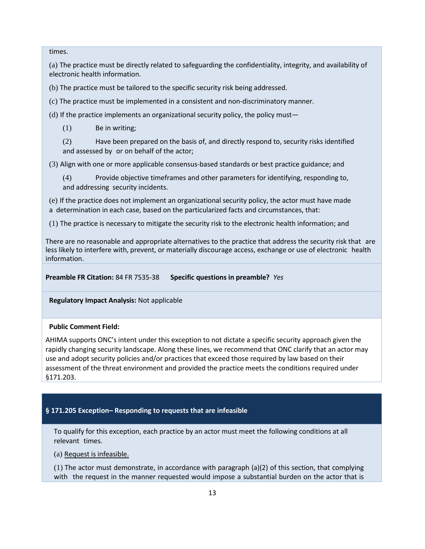times.

(a) The practice must be directly related to safeguarding the confidentiality, integrity, and availability of electronic health information.

(b) The practice must be tailored to the specific security risk being addressed.

(c) The practice must be implemented in a consistent and non-discriminatory manner.

(d) If the practice implements an organizational security policy, the policy must—

(1) Be in writing;

(2) Have been prepared on the basis of, and directly respond to, security risks identified and assessed by or on behalf of the actor;

(3) Align with one or more applicable consensus-based standards or best practice guidance; and

(4) Provide objective timeframes and other parameters for identifying, responding to, and addressing security incidents.

(e) If the practice does not implement an organizational security policy, the actor must have made a determination in each case, based on the particularized facts and circumstances, that:

(1) The practice is necessary to mitigate the security risk to the electronic health information; and

There are no reasonable and appropriate alternatives to the practice that address the security risk that are less likely to interfere with, prevent, or materially discourage access, exchange or use of electronic health information.

**Preamble FR Citation:** 84 FR 7535-38 **Specific questions in preamble?** *Yes*

**Regulatory Impact Analysis:** Not applicable

#### **Public Comment Field:**

AHIMA supports ONC's intent under this exception to not dictate a specific security approach given the rapidly changing security landscape. Along these lines, we recommend that ONC clarify that an actor may use and adopt security policies and/or practices that exceed those required by law based on their assessment of the threat environment and provided the practice meets the conditions required under §171.203.

#### **§ 171.205 Exception– Responding to requests that are infeasible**

To qualify for this exception, each practice by an actor must meet the following conditions at all relevant times.

(a) Request is infeasible.

 $(1)$  The actor must demonstrate, in accordance with paragraph  $(a)(2)$  of this section, that complying with the request in the manner requested would impose a substantial burden on the actor that is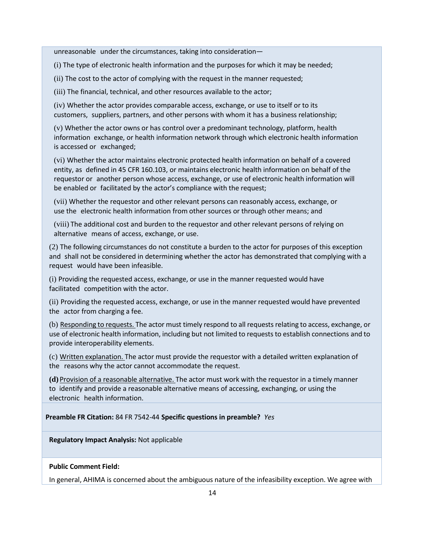unreasonable under the circumstances, taking into consideration—

(i) The type of electronic health information and the purposes for which it may be needed;

(ii) The cost to the actor of complying with the request in the manner requested;

(iii) The financial, technical, and other resources available to the actor;

(iv) Whether the actor provides comparable access, exchange, or use to itself or to its customers, suppliers, partners, and other persons with whom it has a business relationship;

(v) Whether the actor owns or has control over a predominant technology, platform, health information exchange, or health information network through which electronic health information is accessed or exchanged;

(vi) Whether the actor maintains electronic protected health information on behalf of a covered entity, as defined in 45 CFR 160.103, or maintains electronic health information on behalf of the requestor or another person whose access, exchange, or use of electronic health information will be enabled or facilitated by the actor's compliance with the request;

(vii) Whether the requestor and other relevant persons can reasonably access, exchange, or use the electronic health information from other sources or through other means; and

(viii) The additional cost and burden to the requestor and other relevant persons of relying on alternative means of access, exchange, or use.

(2) The following circumstances do not constitute a burden to the actor for purposes of this exception and shall not be considered in determining whether the actor has demonstrated that complying with a request would have been infeasible.

(i) Providing the requested access, exchange, or use in the manner requested would have facilitated competition with the actor.

(ii) Providing the requested access, exchange, or use in the manner requested would have prevented the actor from charging a fee.

(b) Responding to requests. The actor must timely respond to all requestsrelating to access, exchange, or use of electronic health information, including but not limited to requests to establish connections and to provide interoperability elements.

(c) Written explanation. The actor must provide the requestor with a detailed written explanation of the reasons why the actor cannot accommodate the request.

**(d)** Provision of a reasonable alternative. The actor must work with the requestor in a timely manner to identify and provide a reasonable alternative means of accessing, exchanging, or using the electronic health information.

**Preamble FR Citation:** 84 FR 7542-44 **Specific questions in preamble?** *Yes*

**Regulatory Impact Analysis:** Not applicable

#### **Public Comment Field:**

In general, AHIMA is concerned about the ambiguous nature of the infeasibility exception. We agree with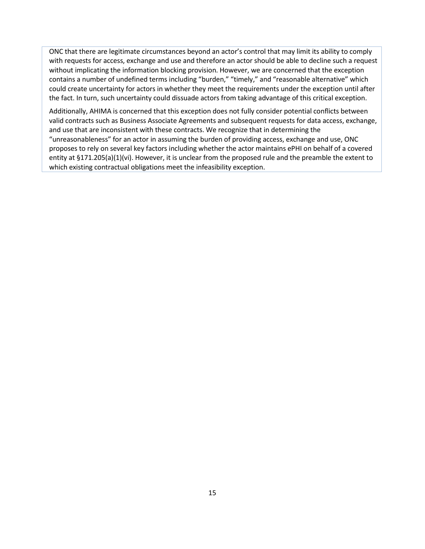ONC that there are legitimate circumstances beyond an actor's control that may limit its ability to comply with requests for access, exchange and use and therefore an actor should be able to decline such a request without implicating the information blocking provision. However, we are concerned that the exception contains a number of undefined terms including "burden," "timely," and "reasonable alternative" which could create uncertainty for actors in whether they meet the requirements under the exception until after the fact. In turn, such uncertainty could dissuade actors from taking advantage of this critical exception.

Additionally, AHIMA is concerned that this exception does not fully consider potential conflicts between valid contracts such as Business Associate Agreements and subsequent requests for data access, exchange, and use that are inconsistent with these contracts. We recognize that in determining the "unreasonableness" for an actor in assuming the burden of providing access, exchange and use, ONC proposes to rely on several key factors including whether the actor maintains ePHI on behalf of a covered entity at §171.205(a)(1)(vi). However, it is unclear from the proposed rule and the preamble the extent to which existing contractual obligations meet the infeasibility exception.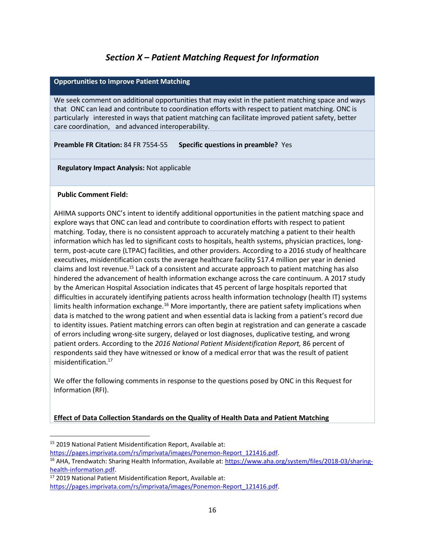# *Section X – Patient Matching Request for Information*

## **Opportunities to Improve Patient Matching**

We seek comment on additional opportunities that may exist in the patient matching space and ways that ONC can lead and contribute to coordination efforts with respect to patient matching. ONC is particularly interested in ways that patient matching can facilitate improved patient safety, better care coordination, and advanced interoperability.

**Preamble FR Citation:** 84 FR 7554-55 **Specific questions in preamble?** Yes

**Regulatory Impact Analysis:** Not applicable

#### **Public Comment Field:**

 $\overline{\phantom{a}}$ 

AHIMA supports ONC's intent to identify additional opportunities in the patient matching space and explore ways that ONC can lead and contribute to coordination efforts with respect to patient matching. Today, there is no consistent approach to accurately matching a patient to their health information which has led to significant costs to hospitals, health systems, physician practices, longterm, post-acute care (LTPAC) facilities, and other providers. According to a 2016 study of healthcare executives, misidentification costs the average healthcare facility \$17.4 million per year in denied claims and lost revenue.<sup>15</sup> Lack of a consistent and accurate approach to patient matching has also hindered the advancement of health information exchange across the care continuum. A 2017 study by the American Hospital Association indicates that 45 percent of large hospitals reported that difficulties in accurately identifying patients across health information technology (health IT) systems limits health information exchange.<sup>16</sup> More importantly, there are patient safety implications when data is matched to the wrong patient and when essential data is lacking from a patient's record due to identity issues. Patient matching errors can often begin at registration and can generate a cascade of errors including wrong-site surgery, delayed or lost diagnoses, duplicative testing, and wrong patient orders. According to the *2016 National Patient Misidentification Report,* 86 percent of respondents said they have witnessed or know of a medical error that was the result of patient misidentification.<sup>17</sup>

We offer the following comments in response to the questions posed by ONC in this Request for Information (RFI).

## **Effect of Data Collection Standards on the Quality of Health Data and Patient Matching**

<sup>15</sup> 2019 National Patient Misidentification Report, Available at:

[https://pages.imprivata.com/rs/imprivata/images/Ponemon-Report\\_121416.pdf.](https://pages.imprivata.com/rs/imprivata/images/Ponemon-Report_121416.pdf)

<sup>16</sup> AHA, Trendwatch: Sharing Health Information, Available at: [https://www.aha.org/system/files/2018-03/sharing](https://www.aha.org/system/files/2018-03/sharing-health-information.pdf)[health-information.pdf.](https://www.aha.org/system/files/2018-03/sharing-health-information.pdf)

<sup>17</sup> 2019 National Patient Misidentification Report, Available at: [https://pages.imprivata.com/rs/imprivata/images/Ponemon-Report\\_121416.pdf.](https://pages.imprivata.com/rs/imprivata/images/Ponemon-Report_121416.pdf)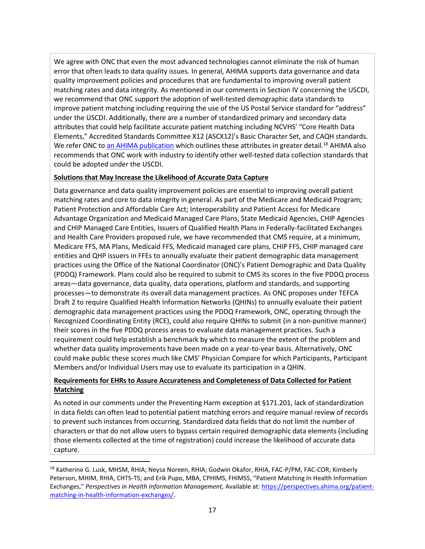We agree with ONC that even the most advanced technologies cannot eliminate the risk of human error that often leads to data quality issues. In general, AHIMA supports data governance and data quality improvement policies and procedures that are fundamental to improving overall patient matching rates and data integrity. As mentioned in our comments in Section IV concerning the USCDI, we recommend that ONC support the adoption of well-tested demographic data standards to improve patient matching including requiring the use of the US Postal Service standard for "address" under the USCDI. Additionally, there are a number of standardized primary and secondary data attributes that could help facilitate accurate patient matching including NCVHS' "Core Health Data Elements," Accredited Standards Committee X12 (ASCX12)'s Basic Character Set, and CAQH standards. We refer ONC to an [AHIMA publication](https://perspectives.ahima.org/wp-content/uploads/2014/12/PatientMatchingAppendixA.pdf) which outlines these attributes in greater detail.<sup>18</sup> AHIMA also recommends that ONC work with industry to identify other well-tested data collection standards that could be adopted under the USCDI.

## **Solutions that May Increase the Likelihood of Accurate Data Capture**

Data governance and data quality improvement policies are essential to improving overall patient matching rates and core to data integrity in general. As part of the Medicare and Medicaid Program; Patient Protection and Affordable Care Act; Interoperability and Patient Access for Medicare Advantage Organization and Medicaid Managed Care Plans, State Medicaid Agencies, CHIP Agencies and CHIP Managed Care Entities, Issuers of Qualified Health Plans in Federally-facilitated Exchanges and Health Care Providers proposed rule, we have recommended that CMS require, at a minimum, Medicare FFS, MA Plans, Medicaid FFS, Medicaid managed care plans, CHIP FFS, CHIP managed care entities and QHP issuers in FFEs to annually evaluate their patient demographic data management practices using the Office of the National Coordinator (ONC)'s Patient Demographic and Data Quality (PDDQ) Framework. Plans could also be required to submit to CMS its scores in the five PDDQ process areas—data governance, data quality, data operations, platform and standards, and supporting processes—to demonstrate its overall data management practices. As ONC proposes under TEFCA Draft 2 to require Qualified Health Information Networks (QHINs) to annually evaluate their patient demographic data management practices using the PDDQ Framework, ONC, operating through the Recognized Coordinating Entity (RCE), could also require QHINs to submit (in a non-punitive manner) their scores in the five PDDQ process areas to evaluate data management practices. Such a requirement could help establish a benchmark by which to measure the extent of the problem and whether data quality improvements have been made on a year-to-year basis. Alternatively, ONC could make public these scores much like CMS' Physician Compare for which Participants, Participant Members and/or Individual Users may use to evaluate its participation in a QHIN.

## **Requirements for EHRs to Assure Accurateness and Completeness of Data Collected for Patient Matching**

As noted in our comments under the Preventing Harm exception at §171.201, lack of standardization in data fields can often lead to potential patient matching errors and require manual review of records to prevent such instances from occurring. Standardized data fields that do not limit the number of characters or that do not allow users to bypass certain required demographic data elements (including those elements collected at the time of registration) could increase the likelihood of accurate data capture.

l

<sup>&</sup>lt;sup>18</sup> Katherine G. Lusk, MHSM, RHIA; Neysa Noreen, RHIA; Godwin Okafor, RHIA, FAC-P/PM, FAC-COR; Kimberly Peterson, MHIM, RHIA, CHTS-TS; and Erik Pupo, MBA, CPHIMS, FHIMSS, "Patient Matching In Health Information Exchanges," *Perspectives in Health Information Management,* Available at: [https://perspectives.ahima.org/patient](https://perspectives.ahima.org/patient-matching-in-health-information-exchanges/)[matching-in-health-information-exchanges/.](https://perspectives.ahima.org/patient-matching-in-health-information-exchanges/)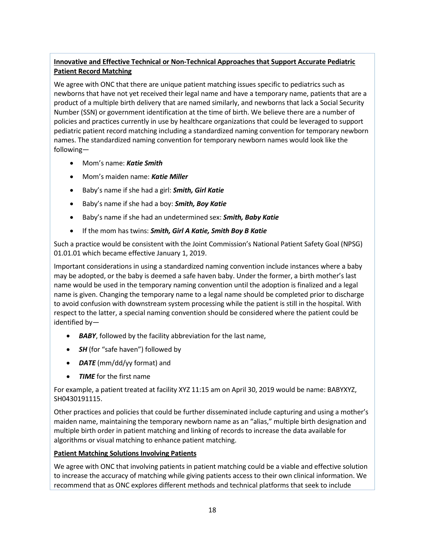# **Innovative and Effective Technical or Non-Technical Approaches that Support Accurate Pediatric Patient Record Matching**

We agree with ONC that there are unique patient matching issues specific to pediatrics such as newborns that have not yet received their legal name and have a temporary name, patients that are a product of a multiple birth delivery that are named similarly, and newborns that lack a Social Security Number (SSN) or government identification at the time of birth. We believe there are a number of policies and practices currently in use by healthcare organizations that could be leveraged to support pediatric patient record matching including a standardized naming convention for temporary newborn names. The standardized naming convention for temporary newborn names would look like the following—

- Mom's name: *Katie Smith*
- Mom's maiden name: *Katie Miller*
- Baby's name if she had a girl: *Smith, Girl Katie*
- Baby's name if she had a boy: *Smith, Boy Katie*
- Baby's name if she had an undetermined sex: *Smith, Baby Katie*
- If the mom has twins: *Smith, Girl A Katie, Smith Boy B Katie*

Such a practice would be consistent with the Joint Commission's National Patient Safety Goal (NPSG) 01.01.01 which became effective January 1, 2019.

Important considerations in using a standardized naming convention include instances where a baby may be adopted, or the baby is deemed a safe haven baby. Under the former, a birth mother's last name would be used in the temporary naming convention until the adoption is finalized and a legal name is given. Changing the temporary name to a legal name should be completed prior to discharge to avoid confusion with downstream system processing while the patient is still in the hospital. With respect to the latter, a special naming convention should be considered where the patient could be identified by—

- *BABY*, followed by the facility abbreviation for the last name,
- *SH* (for "safe haven") followed by
- *DATE* (mm/dd/yy format) and
- *TIME* for the first name

For example, a patient treated at facility XYZ 11:15 am on April 30, 2019 would be name: BABYXYZ, SH0430191115.

Other practices and policies that could be further disseminated include capturing and using a mother's maiden name, maintaining the temporary newborn name as an "alias," multiple birth designation and multiple birth order in patient matching and linking of records to increase the data available for algorithms or visual matching to enhance patient matching.

## **Patient Matching Solutions Involving Patients**

We agree with ONC that involving patients in patient matching could be a viable and effective solution to increase the accuracy of matching while giving patients access to their own clinical information. We recommend that as ONC explores different methods and technical platforms that seek to include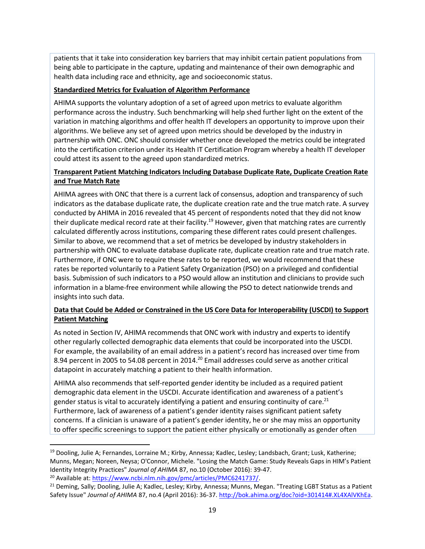patients that it take into consideration key barriers that may inhibit certain patient populations from being able to participate in the capture, updating and maintenance of their own demographic and health data including race and ethnicity, age and socioeconomic status.

## **Standardized Metrics for Evaluation of Algorithm Performance**

AHIMA supports the voluntary adoption of a set of agreed upon metrics to evaluate algorithm performance across the industry. Such benchmarking will help shed further light on the extent of the variation in matching algorithms and offer health IT developers an opportunity to improve upon their algorithms. We believe any set of agreed upon metrics should be developed by the industry in partnership with ONC. ONC should consider whether once developed the metrics could be integrated into the certification criterion under its Health IT Certification Program whereby a health IT developer could attest its assent to the agreed upon standardized metrics.

## **Transparent Patient Matching Indicators Including Database Duplicate Rate, Duplicate Creation Rate and True Match Rate**

AHIMA agrees with ONC that there is a current lack of consensus, adoption and transparency of such indicators as the database duplicate rate, the duplicate creation rate and the true match rate. A survey conducted by AHIMA in 2016 revealed that 45 percent of respondents noted that they did not know their duplicate medical record rate at their facility.<sup>19</sup> However, given that matching rates are currently calculated differently across institutions, comparing these different rates could present challenges. Similar to above, we recommend that a set of metrics be developed by industry stakeholders in partnership with ONC to evaluate database duplicate rate, duplicate creation rate and true match rate. Furthermore, if ONC were to require these rates to be reported, we would recommend that these rates be reported voluntarily to a Patient Safety Organization (PSO) on a privileged and confidential basis. Submission of such indicators to a PSO would allow an institution and clinicians to provide such information in a blame-free environment while allowing the PSO to detect nationwide trends and insights into such data.

## **Data that Could be Added or Constrained in the US Core Data for Interoperability (USCDI) to Support Patient Matching**

As noted in Section IV, AHIMA recommends that ONC work with industry and experts to identify other regularly collected demographic data elements that could be incorporated into the USCDI. For example, the availability of an email address in a patient's record has increased over time from 8.94 percent in 2005 to 54.08 percent in 2014.<sup>20</sup> Email addresses could serve as another critical datapoint in accurately matching a patient to their health information.

AHIMA also recommends that self-reported gender identity be included as a required patient demographic data element in the USCDI. Accurate identification and awareness of a patient's gender status is vital to accurately identifying a patient and ensuring continuity of care.<sup>21</sup> Furthermore, lack of awareness of a patient's gender identity raises significant patient safety concerns. If a clinician is unaware of a patient's gender identity, he or she may miss an opportunity to offer specific screenings to support the patient either physically or emotionally as gender often

l

<sup>&</sup>lt;sup>19</sup> Dooling, Julie A; Fernandes, Lorraine M.; Kirby, Annessa; Kadlec, Lesley; Landsbach, Grant; Lusk, Katherine; Munns, Megan; Noreen, Neysa; O'Connor, Michele. "Losing the Match Game: Study Reveals Gaps in HIM's Patient Identity Integrity Practices" *Journal of AHIMA* 87, no.10 (October 2016): 39-47. <sup>20</sup> Available at: [https://www.ncbi.nlm.nih.gov/pmc/articles/PMC6241737/.](https://www.ncbi.nlm.nih.gov/pmc/articles/PMC6241737/)

<sup>&</sup>lt;sup>21</sup> Deming, Sally; Dooling, Julie A; Kadlec, Lesley; Kirby, Annessa; Munns, Megan. "Treating LGBT Status as a Patient Safety Issue" Journal of AHIMA 87, no.4 (April 2016): 36-37. [http://bok.ahima.org/doc?oid=301414#.XL4XAlVKhEa.](http://bok.ahima.org/doc?oid=301414#.XL4XAlVKhEa)